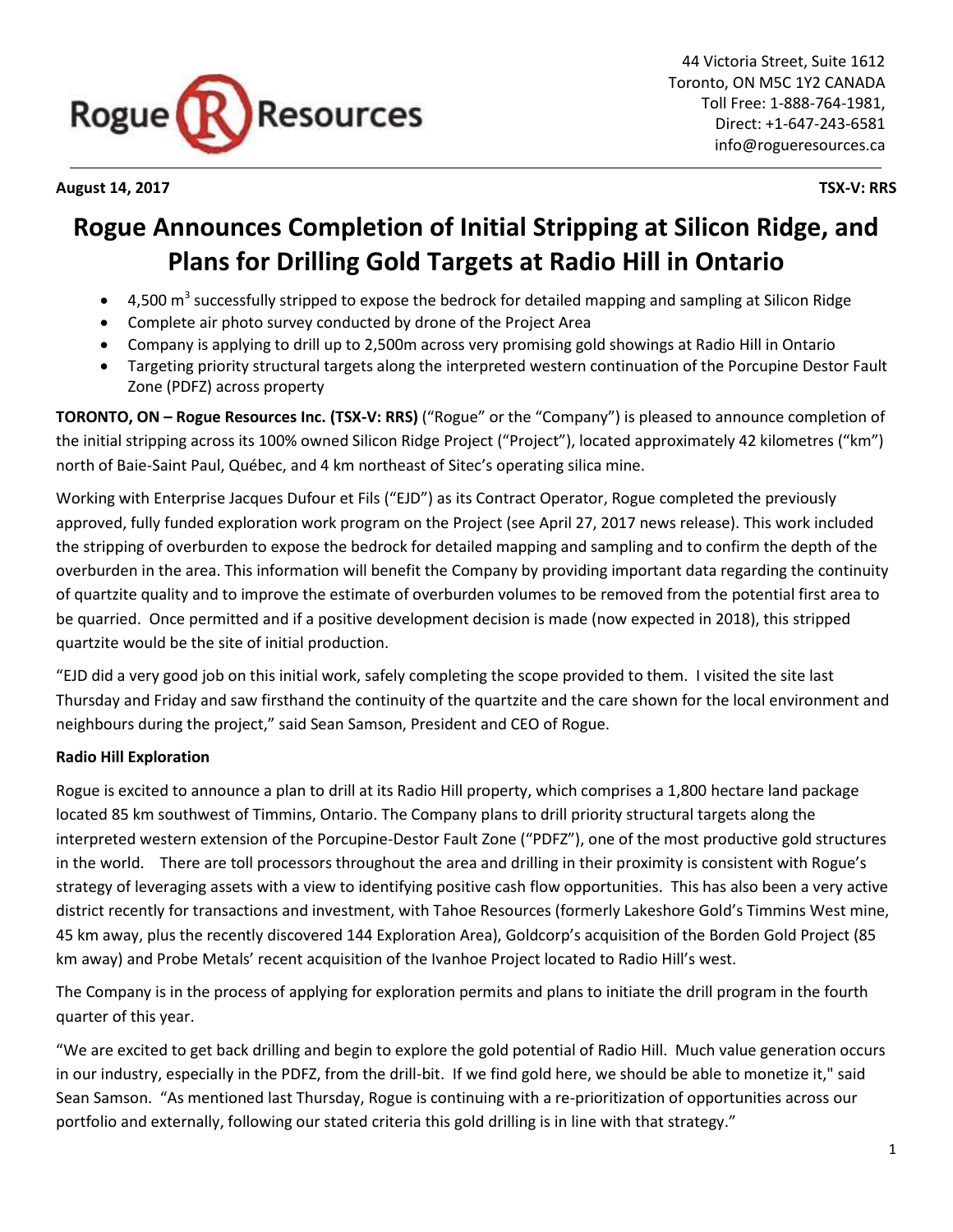

### **August 14, 2017 TSX-V: RRS**

# **Rogue Announces Completion of Initial Stripping at Silicon Ridge, and Plans for Drilling Gold Targets at Radio Hill in Ontario**

- $\bullet$  4,500 m<sup>3</sup> successfully stripped to expose the bedrock for detailed mapping and sampling at Silicon Ridge
- Complete air photo survey conducted by drone of the Project Area
- Company is applying to drill up to 2,500m across very promising gold showings at Radio Hill in Ontario
- Targeting priority structural targets along the interpreted western continuation of the Porcupine Destor Fault Zone (PDFZ) across property

**TORONTO, ON – Rogue Resources Inc. (TSX-V: RRS)** ("Rogue" or the "Company") is pleased to announce completion of the initial stripping across its 100% owned Silicon Ridge Project ("Project"), located approximately 42 kilometres ("km") north of Baie-Saint Paul, Québec, and 4 km northeast of Sitec's operating silica mine.

Working with Enterprise Jacques Dufour et Fils ("EJD") as its Contract Operator, Rogue completed the previously approved, fully funded exploration work program on the Project (see April 27, 2017 news release). This work included the stripping of overburden to expose the bedrock for detailed mapping and sampling and to confirm the depth of the overburden in the area. This information will benefit the Company by providing important data regarding the continuity of quartzite quality and to improve the estimate of overburden volumes to be removed from the potential first area to be quarried. Once permitted and if a positive development decision is made (now expected in 2018), this stripped quartzite would be the site of initial production.

"EJD did a very good job on this initial work, safely completing the scope provided to them. I visited the site last Thursday and Friday and saw firsthand the continuity of the quartzite and the care shown for the local environment and neighbours during the project," said Sean Samson, President and CEO of Rogue.

## **Radio Hill Exploration**

Rogue is excited to announce a plan to drill at its Radio Hill property, which comprises a 1,800 hectare land package located 85 km southwest of Timmins, Ontario. The Company plans to drill priority structural targets along the interpreted western extension of the Porcupine-Destor Fault Zone ("PDFZ"), one of the most productive gold structures in the world. There are toll processors throughout the area and drilling in their proximity is consistent with Rogue's strategy of leveraging assets with a view to identifying positive cash flow opportunities. This has also been a very active district recently for transactions and investment, with Tahoe Resources (formerly Lakeshore Gold's Timmins West mine, 45 km away, plus the recently discovered 144 Exploration Area), Goldcorp's acquisition of the Borden Gold Project (85 km away) and Probe Metals' recent acquisition of the Ivanhoe Project located to Radio Hill's west.

The Company is in the process of applying for exploration permits and plans to initiate the drill program in the fourth quarter of this year.

"We are excited to get back drilling and begin to explore the gold potential of Radio Hill. Much value generation occurs in our industry, especially in the PDFZ, from the drill-bit. If we find gold here, we should be able to monetize it," said Sean Samson. "As mentioned last Thursday, Rogue is continuing with a re-prioritization of opportunities across our portfolio and externally, following our stated criteria this gold drilling is in line with that strategy."